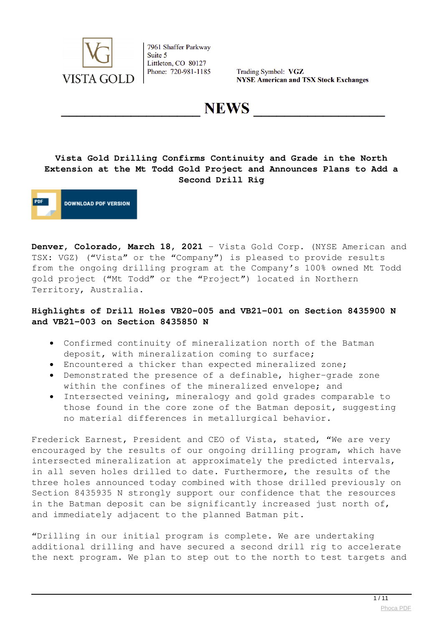

Trading Symbol: VGZ **NYSE American and TSX Stock Exchanges** 

**NEWS** 

#### **Vista Gold Drilling Confirms Continuity and Grade in the North Extension at the Mt Todd Gold Project and Announces Plans to Add a Second Drill Rig**

**DOWNLOAD PDF VERSION** 

**Denver, Colorado, March 18, 2021** – Vista Gold Corp. (NYSE American and TSX: VGZ) ("Vista" or the "Company") is pleased to provide results from the ongoing drilling program at the Company's 100% owned Mt Todd gold project ("Mt Todd" or the "Project") located in Northern Territory, Australia.

### **Highlights of Drill Holes VB20-005 and VB21-001 on Section 8435900 N and VB21-003 on Section 8435850 N**

- Confirmed continuity of mineralization north of the Batman deposit, with mineralization coming to surface;
- Encountered a thicker than expected mineralized zone;
- Demonstrated the presence of a definable, higher-grade zone within the confines of the mineralized envelope; and
- Intersected veining, mineralogy and gold grades comparable to those found in the core zone of the Batman deposit, suggesting no material differences in metallurgical behavior.

Frederick Earnest, President and CEO of Vista, stated, "We are very encouraged by the results of our ongoing drilling program, which have intersected mineralization at approximately the predicted intervals, in all seven holes drilled to date. Furthermore, the results of the three holes announced today combined with those drilled previously on Section 8435935 N strongly support our confidence that the resources in the Batman deposit can be significantly increased just north of, and immediately adjacent to the planned Batman pit.

"Drilling in our initial program is complete. We are undertaking additional drilling and have secured a second drill rig to accelerate the next program. We plan to step out to the north to test targets and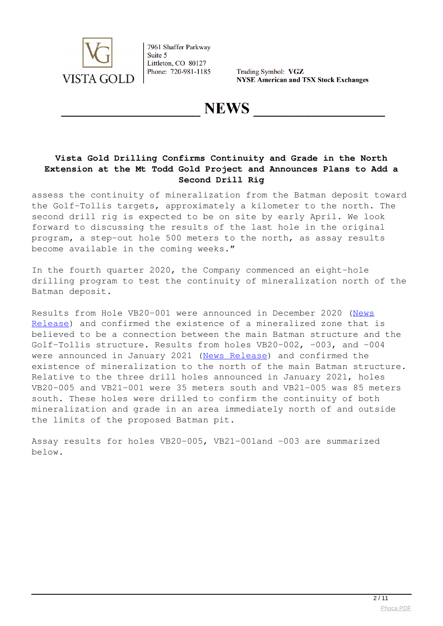

Trading Symbol: VGZ **NYSE American and TSX Stock Exchanges** 

**NEWS** 

#### **Vista Gold Drilling Confirms Continuity and Grade in the North Extension at the Mt Todd Gold Project and Announces Plans to Add a Second Drill Rig**

assess the continuity of mineralization from the Batman deposit toward the Golf-Tollis targets, approximately a kilometer to the north. The second drill rig is expected to be on site by early April. We look forward to discussing the results of the last hole in the original program, a step-out hole 500 meters to the north, as assay results become available in the coming weeks."

In the fourth quarter 2020, the Company commenced an eight-hole drilling program to test the continuity of mineralization north of the Batman deposit.

Results from Hole VB20-001 were announced in December 2020 ([News](https://www.vistagold.com/investors/news/news-2020/665-istaoldrillingonfirmsdjacentineralizedoneatt20201214221200) [Release\)](https://www.vistagold.com/investors/news/news-2020/665-istaoldrillingonfirmsdjacentineralizedoneatt20201214221200) and confirmed the existence of a mineralized zone that is believed to be a connection between the main Batman structure and the Golf-Tollis structure. Results from holes VB20-002, -003, and -004 were announced in January 2021 ([News Release](https://www.vistagold.com/news/news-2021/671-istaoldrillingonfirmsorthxtensionoftheatman20210121222000)) and confirmed the existence of mineralization to the north of the main Batman structure. Relative to the three drill holes announced in January 2021, holes VB20-005 and VB21-001 were 35 meters south and VB21-005 was 85 meters south. These holes were drilled to confirm the continuity of both mineralization and grade in an area immediately north of and outside the limits of the proposed Batman pit.

Assay results for holes VB20-005, VB21-001and -003 are summarized below.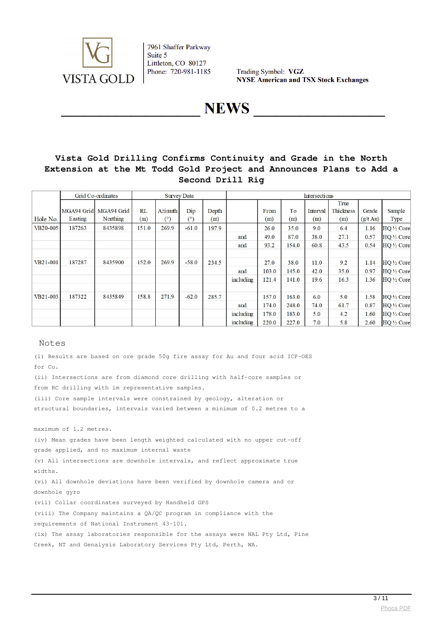

Trading Symbol: VGZ **NYSE American and TSX Stock Exchanges** 

**NEWS** 

## **Vista Gold Drilling Confirms Continuity and Grade in the North Extension at the Mt Todd Gold Project and Announces Plans to Add a Second Drill Rig**

|            |         | Grid Co-ordinates     | <b>Survey Data</b> |         |            |       | Intersections |       |       |          |           |                    |                      |
|------------|---------|-----------------------|--------------------|---------|------------|-------|---------------|-------|-------|----------|-----------|--------------------|----------------------|
|            |         |                       |                    |         |            |       |               |       |       |          | True      |                    |                      |
|            |         | MGA94 Grid MGA94 Grid | RL                 | Azimuth | Dip        | Depth |               | From  | To    | Interval | Thickness | Grade              | Sample               |
| Hole No.   | Easting | Northing              | (m)                | (°)     | $(^\circ)$ | (m)   |               | (m)   | (m)   | (m)      | (m)       | $(g/t \text{ Au})$ | Type                 |
| VB20-005   | 187263  | 8435898               | 151.0              | 269.9   | $-61.0$    | 197.9 |               | 26.0  | 35.0  | 9.0      | 6.4       | 1.16               | HQ 1/2 Core          |
|            |         |                       |                    |         |            |       | and           | 49.0  | 87.0  | 38.0     | 27.1      | 0.57               | HQ 1/2 Core          |
|            |         |                       |                    |         |            |       | and           | 93.2  | 154.0 | 60.8     | 43.5      | 0.54               | $HO\frac{1}{2}$ Core |
|            |         |                       |                    |         |            |       |               |       |       |          |           |                    |                      |
| VB21-001   | 187287  | 8435900               | 152.0              | 269.9   | $-58.0$    | 234.5 |               | 27.0  | 38.0  | 11.0     | 9.2       | 1.14               | HQ 1/2 Core          |
|            |         |                       |                    |         |            |       | and           | 103.0 | 145.0 | 42.0     | 35.0      | 0.97               | HQ 1/2 Core          |
|            |         |                       |                    |         |            |       | including     | 121.4 | 141.0 | 19.6     | 16.3      | 1.36               | HQ 1/2 Core          |
|            |         |                       |                    |         |            |       |               |       |       |          |           |                    |                      |
| $VB21-003$ | 187322  | 8435849               | 158.8              | 271.9   | $-62.0$    | 285.7 |               | 157.0 | 163.0 | 6.0      | 5.0       | 1.58               | HQ 1/2 Core          |
|            |         |                       |                    |         |            |       | and           | 174.0 | 248.0 | 74.0     | 61.7      | 0.87               | $HO\frac{1}{2}$ Core |
|            |         |                       |                    |         |            |       | including     | 178.0 | 183.0 | 5.0      | 4.2       | 1.60               | HQ 1/2 Core          |
|            |         |                       |                    |         |            |       | including     | 220.0 | 227.0 | 7.0      | 5.8       | 2.60               | HQ 1/2 Core          |

#### Notes

(i) Results are based on ore grade 50g fire assay for Au and four acid ICP-OES for Cu.

(ii) Intersections are from diamond core drilling with half-core samples or from RC drilling with 1m representative samples. (iii) Core sample intervals were constrained by geology, alteration or

structural boundaries, intervals varied between a minimum of 0.2 metres to a

maximum of 1.2 metres.

(iv) Mean grades have been length weighted calculated with no upper cut-off grade applied, and no maximum internal waste (v) All intersections are downhole intervals, and reflect approximate true widths. (vi) All downhole deviations have been verified by downhole camera and or downhole gyro (vii) Collar coordinates surveyed by Handheld GPS (viii) The Company maintains a QA/QC program in compliance with the requirements of National Instrument 43-101. (ix) The assay laboratories responsible for the assays were NAL Pty Ltd, Pine Creek, NT and Genalysis Laboratory Services Pty Ltd, Perth, WA.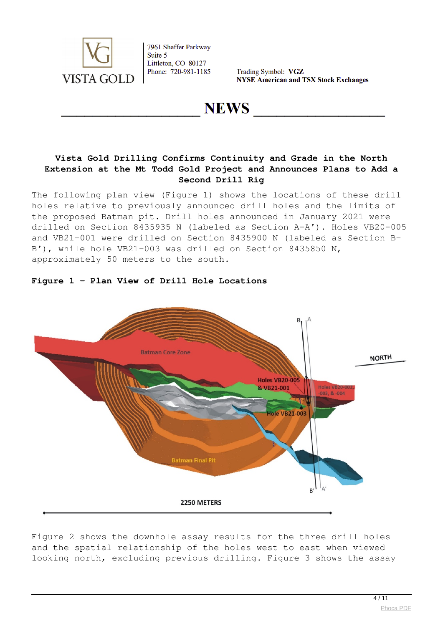

Trading Symbol: VGZ **NYSE American and TSX Stock Exchanges** 

**NEWS** 

# **Vista Gold Drilling Confirms Continuity and Grade in the North Extension at the Mt Todd Gold Project and Announces Plans to Add a Second Drill Rig**

The following plan view (Figure 1) shows the locations of these drill holes relative to previously announced drill holes and the limits of the proposed Batman pit. Drill holes announced in January 2021 were drilled on Section 8435935 N (labeled as Section A-A'). Holes VB20-005 and VB21-001 were drilled on Section 8435900 N (labeled as Section B-B'), while hole VB21-003 was drilled on Section 8435850 N, approximately 50 meters to the south.



# **Figure 1 – Plan View of Drill Hole Locations**

Figure 2 shows the downhole assay results for the three drill holes and the spatial relationship of the holes west to east when viewed looking north, excluding previous drilling. Figure 3 shows the assay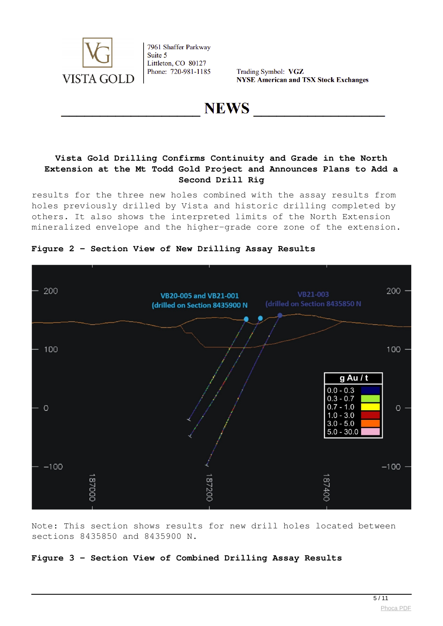

Trading Symbol: VGZ **NYSE American and TSX Stock Exchanges** 

**NEWS** 

# **Vista Gold Drilling Confirms Continuity and Grade in the North Extension at the Mt Todd Gold Project and Announces Plans to Add a Second Drill Rig**

results for the three new holes combined with the assay results from holes previously drilled by Vista and historic drilling completed by others. It also shows the interpreted limits of the North Extension mineralized envelope and the higher-grade core zone of the extension.



#### **Figure 2 – Section View of New Drilling Assay Results**

Note: This section shows results for new drill holes located between sections 8435850 and 8435900 N.

#### **Figure 3 – Section View of Combined Drilling Assay Results**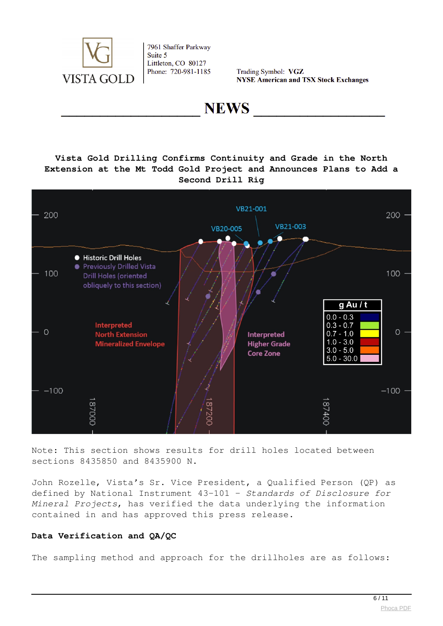

Trading Symbol: VGZ **NYSE American and TSX Stock Exchanges** 

**NEWS** 

#### **Vista Gold Drilling Confirms Continuity and Grade in the North Extension at the Mt Todd Gold Project and Announces Plans to Add a Second Drill Rig**



Note: This section shows results for drill holes located between sections 8435850 and 8435900 N.

John Rozelle, Vista's Sr. Vice President, a Qualified Person (QP) as defined by National Instrument 43-101 – *Standards of Disclosure for Mineral Projects*, has verified the data underlying the information contained in and has approved this press release.

#### **Data Verification and QA/QC**

The sampling method and approach for the drillholes are as follows: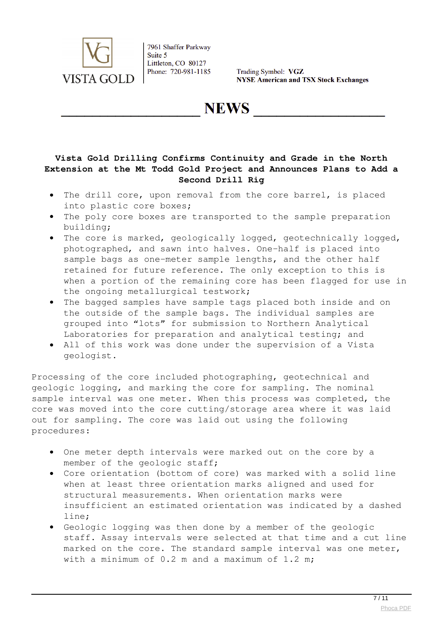

Trading Symbol: VGZ **NYSE American and TSX Stock Exchanges** 

**NEWS** 

# **Vista Gold Drilling Confirms Continuity and Grade in the North Extension at the Mt Todd Gold Project and Announces Plans to Add a Second Drill Rig**

- The drill core, upon removal from the core barrel, is placed into plastic core boxes;
- The poly core boxes are transported to the sample preparation building;
- The core is marked, geologically logged, geotechnically logged, photographed, and sawn into halves. One-half is placed into sample bags as one-meter sample lengths, and the other half retained for future reference. The only exception to this is when a portion of the remaining core has been flagged for use in the ongoing metallurgical testwork;
- The bagged samples have sample tags placed both inside and on the outside of the sample bags. The individual samples are grouped into "lots" for submission to Northern Analytical Laboratories for preparation and analytical testing; and
- All of this work was done under the supervision of a Vista geologist.

Processing of the core included photographing, geotechnical and geologic logging, and marking the core for sampling. The nominal sample interval was one meter. When this process was completed, the core was moved into the core cutting/storage area where it was laid out for sampling. The core was laid out using the following procedures:

- One meter depth intervals were marked out on the core by a member of the geologic staff;
- Core orientation (bottom of core) was marked with a solid line when at least three orientation marks aligned and used for structural measurements. When orientation marks were insufficient an estimated orientation was indicated by a dashed line;
- Geologic logging was then done by a member of the geologic staff. Assay intervals were selected at that time and a cut line marked on the core. The standard sample interval was one meter, with a minimum of 0.2 m and a maximum of 1.2 m;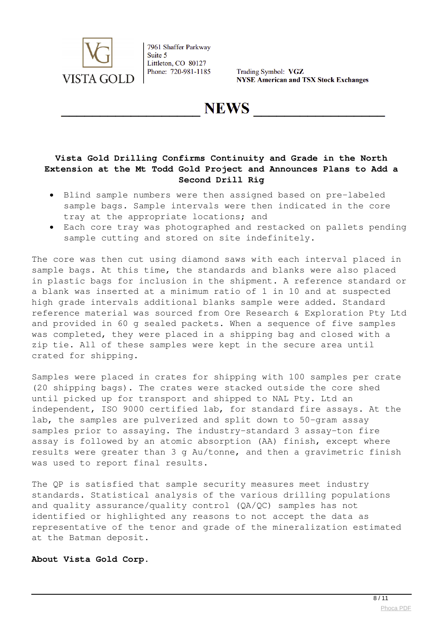

Trading Symbol: VGZ **NYSE American and TSX Stock Exchanges** 

**NEWS** 

## **Vista Gold Drilling Confirms Continuity and Grade in the North Extension at the Mt Todd Gold Project and Announces Plans to Add a Second Drill Rig**

- Blind sample numbers were then assigned based on pre-labeled sample bags. Sample intervals were then indicated in the core tray at the appropriate locations; and
- Each core tray was photographed and restacked on pallets pending sample cutting and stored on site indefinitely.

The core was then cut using diamond saws with each interval placed in sample bags. At this time, the standards and blanks were also placed in plastic bags for inclusion in the shipment. A reference standard or a blank was inserted at a minimum ratio of 1 in 10 and at suspected high grade intervals additional blanks sample were added. Standard reference material was sourced from Ore Research & Exploration Pty Ltd and provided in 60 g sealed packets. When a sequence of five samples was completed, they were placed in a shipping bag and closed with a zip tie. All of these samples were kept in the secure area until crated for shipping.

Samples were placed in crates for shipping with 100 samples per crate (20 shipping bags). The crates were stacked outside the core shed until picked up for transport and shipped to NAL Pty. Ltd an independent, ISO 9000 certified lab, for standard fire assays. At the lab, the samples are pulverized and split down to 50-gram assay samples prior to assaying. The industry-standard 3 assay-ton fire assay is followed by an atomic absorption (AA) finish, except where results were greater than 3 g Au/tonne, and then a gravimetric finish was used to report final results.

The QP is satisfied that sample security measures meet industry standards. Statistical analysis of the various drilling populations and quality assurance/quality control (QA/QC) samples has not identified or highlighted any reasons to not accept the data as representative of the tenor and grade of the mineralization estimated at the Batman deposit.

#### **About Vista Gold Corp.**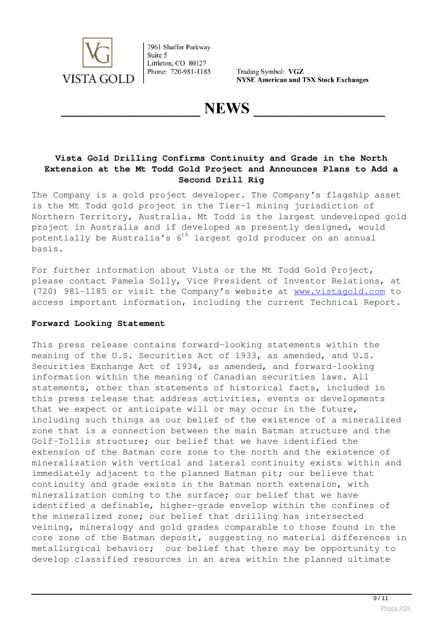

Trading Symbol: VGZ **NYSE American and TSX Stock Exchanges** 

**NEWS** 

#### **Vista Gold Drilling Confirms Continuity and Grade in the North Extension at the Mt Todd Gold Project and Announces Plans to Add a Second Drill Rig**

The Company is a gold project developer. The Company's flagship asset is the Mt Todd gold project in the Tier-1 mining jurisdiction of Northern Territory, Australia. Mt Todd is the largest undeveloped gold project in Australia and if developed as presently designed, would potentially be Australia's 6<sup>th</sup> largest gold producer on an annual basis.

For further information about Vista or the Mt Todd Gold Project, please contact Pamela Solly, Vice President of Investor Relations, at (720) 981-1185 or visit the Company's website at [www.vistagold.com](http://www.vistagold.com) to access important information, including the current Technical Report.

#### **Forward Looking Statement**

This press release contains forward-looking statements within the meaning of the U.S. Securities Act of 1933, as amended, and U.S. Securities Exchange Act of 1934, as amended, and forward-looking information within the meaning of Canadian securities laws. All statements, other than statements of historical facts, included in this press release that address activities, events or developments that we expect or anticipate will or may occur in the future, including such things as our belief of the existence of a mineralized zone that is a connection between the main Batman structure and the Golf-Tollis structure; our belief that we have identified the extension of the Batman core zone to the north and the existence of mineralization with vertical and lateral continuity exists within and immediately adjacent to the planned Batman pit; our believe that continuity and grade exists in the Batman north extension, with mineralization coming to the surface; our belief that we have identified a definable, higher-grade envelop within the confines of the mineralized zone; our belief that drilling has intersected veining, mineralogy and gold grades comparable to those found in the core zone of the Batman deposit, suggesting no material differences in metallurgical behavior; our belief that there may be opportunity to develop classified resources in an area within the planned ultimate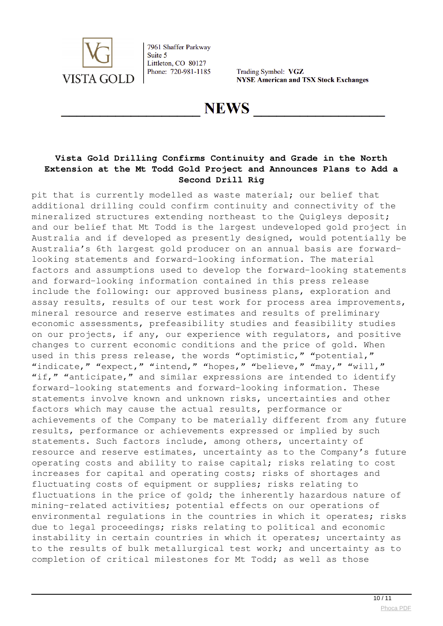

Trading Symbol: VGZ **NYSE American and TSX Stock Exchanges** 

**NEWS** 

# **Vista Gold Drilling Confirms Continuity and Grade in the North Extension at the Mt Todd Gold Project and Announces Plans to Add a Second Drill Rig**

pit that is currently modelled as waste material; our belief that additional drilling could confirm continuity and connectivity of the mineralized structures extending northeast to the Quigleys deposit; and our belief that Mt Todd is the largest undeveloped gold project in Australia and if developed as presently designed, would potentially be Australia's 6th largest gold producer on an annual basis are forwardlooking statements and forward-looking information. The material factors and assumptions used to develop the forward-looking statements and forward-looking information contained in this press release include the following: our approved business plans, exploration and assay results, results of our test work for process area improvements, mineral resource and reserve estimates and results of preliminary economic assessments, prefeasibility studies and feasibility studies on our projects, if any, our experience with regulators, and positive changes to current economic conditions and the price of gold. When used in this press release, the words "optimistic," "potential," "indicate," "expect," "intend," "hopes," "believe," "may," "will," "if," "anticipate," and similar expressions are intended to identify forward-looking statements and forward-looking information. These statements involve known and unknown risks, uncertainties and other factors which may cause the actual results, performance or achievements of the Company to be materially different from any future results, performance or achievements expressed or implied by such statements. Such factors include, among others, uncertainty of resource and reserve estimates, uncertainty as to the Company's future operating costs and ability to raise capital; risks relating to cost increases for capital and operating costs; risks of shortages and fluctuating costs of equipment or supplies; risks relating to fluctuations in the price of gold; the inherently hazardous nature of mining-related activities; potential effects on our operations of environmental regulations in the countries in which it operates; risks due to legal proceedings; risks relating to political and economic instability in certain countries in which it operates; uncertainty as to the results of bulk metallurgical test work; and uncertainty as to completion of critical milestones for Mt Todd; as well as those